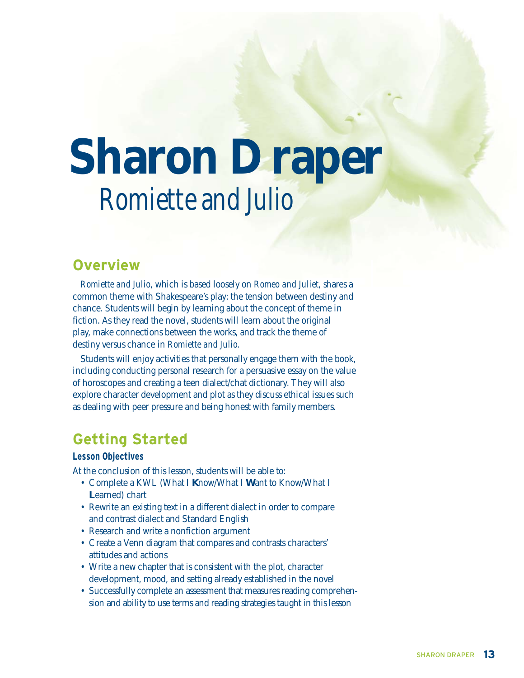# **Sharon Draper** *Romiette and Julio*

## **Overview**

*Romiette and Julio,* which is based loosely on *Romeo and Juliet,* shares a common theme with Shakespeare's play: the tension between destiny and chance. Students will begin by learning about the concept of theme in fiction. As they read the novel, students will learn about the original play, make connections between the works, and track the theme of destiny versus chance in *Romiette and Julio.*

Students will enjoy activities that personally engage them with the book, including conducting personal research for a persuasive essay on the value of horoscopes and creating a teen dialect/chat dictionary. They will also explore character development and plot as they discuss ethical issues such as dealing with peer pressure and being honest with family members.

## **Getting Started**

#### **Lesson Objectives**

At the conclusion of this lesson, students will be able to:

- Complete a KWL (What I **K**now/What I **W**ant to Know/What I **L**earned) chart
- Rewrite an existing text in a different dialect in order to compare and contrast dialect and Standard English
- Research and write a nonfiction argument
- Create a Venn diagram that compares and contrasts characters' attitudes and actions
- Write a new chapter that is consistent with the plot, character development, mood, and setting already established in the novel
- Successfully complete an assessment that measures reading comprehension and ability to use terms and reading strategies taught in this lesson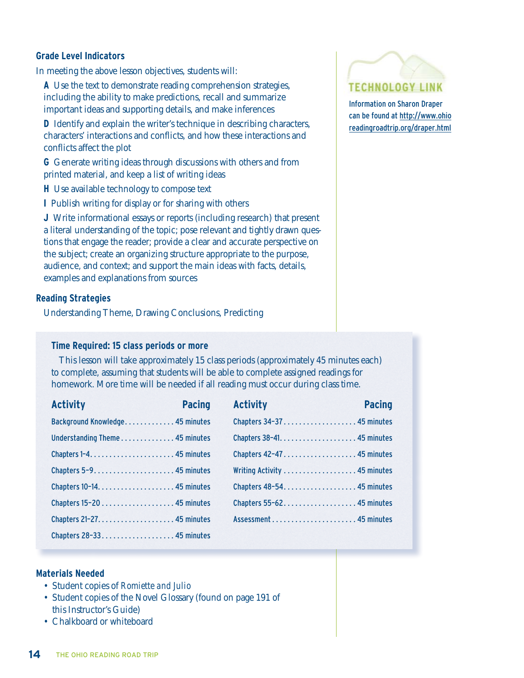#### **Grade Level Indicators**

In meeting the above lesson objectives, students will:

**A** Use the text to demonstrate reading comprehension strategies, including the ability to make predictions, recall and summarize important ideas and supporting details, and make inferences

**D** Identify and explain the writer's technique in describing characters, characters' interactions and conflicts, and how these interactions and conflicts affect the plot

**G** Generate writing ideas through discussions with others and from printed material, and keep a list of writing ideas

**H** Use available technology to compose text

**I** Publish writing for display or for sharing with others

**J** Write informational essays or reports (including research) that present a literal understanding of the topic; pose relevant and tightly drawn questions that engage the reader; provide a clear and accurate perspective on the subject; create an organizing structure appropriate to the purpose, audience, and context; and support the main ideas with facts, details, examples and explanations from sources

#### **Reading Strategies**

Understanding Theme, Drawing Conclusions, Predicting

#### **Time Required: 15 class periods or more**

This lesson will take approximately 15 class periods (approximately 45 minutes each) to complete, assuming that students will be able to complete assigned readings for homework. More time will be needed if all reading must occur during class time.

| <b>Activity</b>                 | <b>Pacing</b> | <b>Activity</b>           | <b>Pacing</b> |
|---------------------------------|---------------|---------------------------|---------------|
| Background Knowledge 45 minutes |               | Chapters 34-37 45 minutes |               |
| Understanding Theme 45 minutes  |               |                           |               |
|                                 |               |                           |               |
|                                 |               |                           |               |
|                                 |               |                           |               |
|                                 |               | Chapters 55-62 45 minutes |               |
|                                 |               |                           |               |
|                                 |               |                           |               |

#### **Materials Needed**

- Student copies of *Romiette and Julio*
- Student copies of the Novel Glossary (found on page 191 of this Instructor's Guide)
- Chalkboard or whiteboard



Information on Sharon Draper can be found at http://www.ohio readingroadtrip.org/draper.html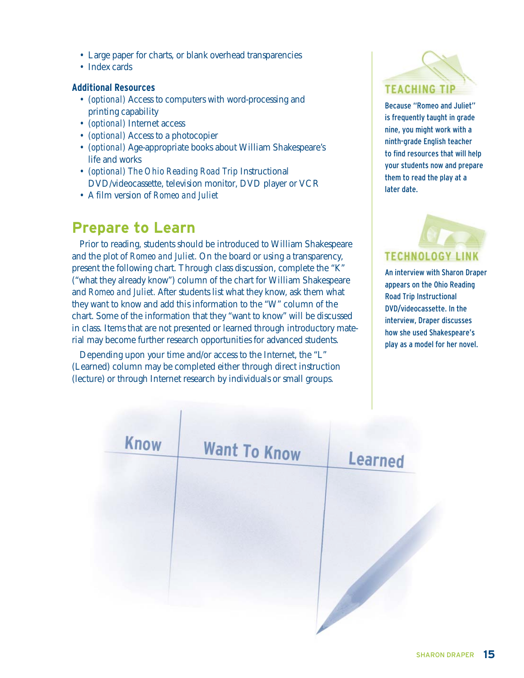- Large paper for charts, or blank overhead transparencies
- Index cards

#### **Additional Resources**

- *(optional)* Access to computers with word-processing and printing capability
- *(optional)* Internet access
- *(optional)* Access to a photocopier
- *(optional)* Age-appropriate books about William Shakespeare's life and works
- *(optional) The Ohio Reading Road Trip* Instructional DVD/videocassette, television monitor, DVD player or VCR
- A film version of *Romeo and Juliet*

## **Prepare to Learn**

Prior to reading, students should be introduced to William Shakespeare and the plot of *Romeo and Juliet.* On the board or using a transparency, present the following chart. Through class discussion, complete the "K" ("what they already know") column of the chart for William Shakespeare and *Romeo and Juliet.* After students list what they know, ask them what they want to know and add this information to the "W" column of the chart. Some of the information that they "want to know" will be discussed in class. Items that are not presented or learned through introductory material may become further research opportunities for advanced students.

Depending upon your time and/or access to the Internet, the "L" (Learned) column may be completed either through direct instruction (lecture) or through Internet research by individuals or small groups.



Because "Romeo and Juliet" is frequently taught in grade nine, you might work with a ninth-grade English teacher to find resources that will help your students now and prepare them to read the play at a later date.

# **TECHNOLOGY**

An interview with Sharon Draper appears on the Ohio Reading Road Trip Instructional DVD/videocassette. In the interview, Draper discusses how she used Shakespeare's play as a model for her novel.

| <b>Know</b> | <b>Want To Know</b> | <b>Learned</b> |  |
|-------------|---------------------|----------------|--|
|             |                     |                |  |
|             |                     |                |  |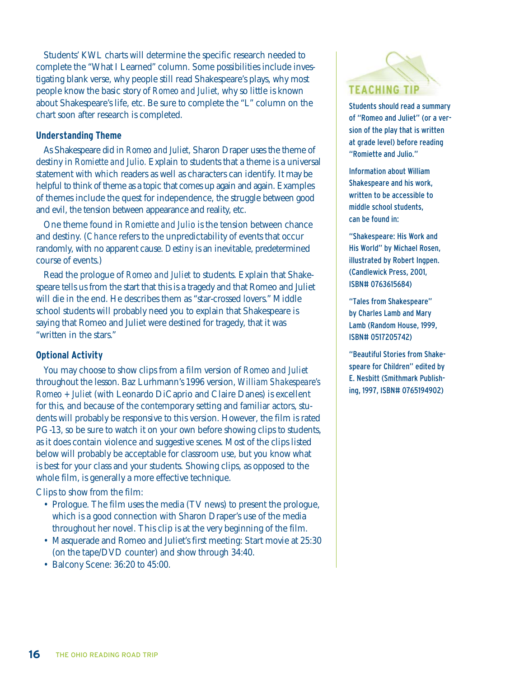Students' KWL charts will determine the specific research needed to complete the "What I Learned" column. Some possibilities include investigating blank verse, why people still read Shakespeare's plays, why most people know the basic story of *Romeo and Juliet,* why so little is known about Shakespeare's life, etc. Be sure to complete the "L" column on the chart soon after research is completed.

#### **Understanding Theme**

As Shakespeare did in *Romeo and Juliet,* Sharon Draper uses the theme of destiny in *Romiette and Julio.* Explain to students that a theme is a universal statement with which readers as well as characters can identify. It may be helpful to think of theme as a topic that comes up again and again. Examples of themes include the quest for independence, the struggle between good and evil, the tension between appearance and reality, etc.

One theme found in *Romiette and Julio* is the tension between chance and destiny. (*Chance* refers to the unpredictability of events that occur randomly, with no apparent cause. *Destiny* is an inevitable, predetermined course of events.)

Read the prologue of *Romeo and Juliet* to students. Explain that Shakespeare tells us from the start that this is a tragedy and that Romeo and Juliet will die in the end. He describes them as "star-crossed lovers." Middle school students will probably need you to explain that Shakespeare is saying that Romeo and Juliet were destined for tragedy, that it was "written in the stars."

#### **Optional Activity**

You may choose to show clips from a film version of *Romeo and Juliet* throughout the lesson. Baz Lurhmann's 1996 version, *William Shakespeare's Romeo + Juliet* (with Leonardo DiCaprio and Claire Danes) is excellent for this, and because of the contemporary setting and familiar actors, students will probably be responsive to this version. However, the film is rated PG-13, so be sure to watch it on your own before showing clips to students, as it does contain violence and suggestive scenes. Most of the clips listed below will probably be acceptable for classroom use, but you know what is best for your class and your students. Showing clips, as opposed to the whole film, is generally a more effective technique.

Clips to show from the film:

- Prologue. The film uses the media (TV news) to present the prologue, which is a good connection with Sharon Draper's use of the media throughout her novel. This clip is at the very beginning of the film.
- Masquerade and Romeo and Juliet's first meeting: Start movie at 25:30 (on the tape/DVD counter) and show through 34:40.
- Balcony Scene: 36:20 to 45:00.



Students should read a summary of "Romeo and Juliet" (or a version of the play that is written at grade level) before reading "Romiette and Julio."

Information about William Shakespeare and his work, written to be accessible to middle school students, can be found in:

"Shakespeare: His Work and His World" by Michael Rosen, illustrated by Robert Ingpen. (Candlewick Press, 2001, ISBN# 0763615684)

"Tales from Shakespeare" by Charles Lamb and Mary Lamb (Random House, 1999, ISBN# 0517205742)

"Beautiful Stories from Shakespeare for Children" edited by E. Nesbitt (Smithmark Publishing, 1997, ISBN# 0765194902)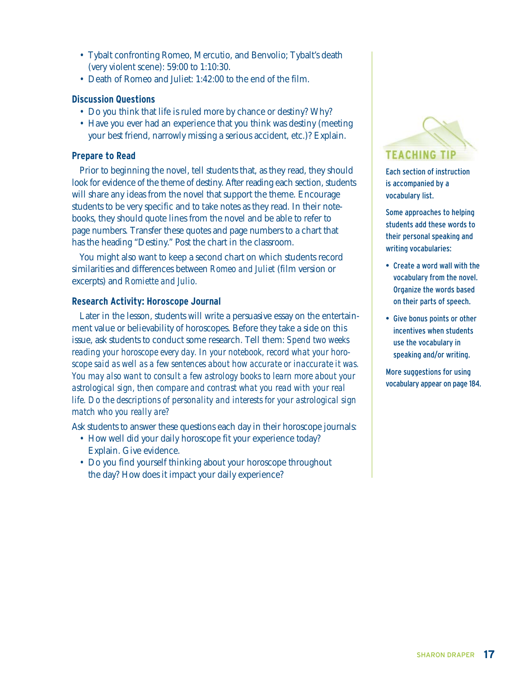- Tybalt confronting Romeo, Mercutio, and Benvolio; Tybalt's death (very violent scene): 59:00 to 1:10:30.
- Death of Romeo and Juliet: 1:42:00 to the end of the film.

#### **Discussion Questions**

- Do you think that life is ruled more by chance or destiny? Why?
- Have you ever had an experience that you think was destiny (meeting your best friend, narrowly missing a serious accident, etc.)? Explain.

#### **Prepare to Read**

Prior to beginning the novel, tell students that, as they read, they should look for evidence of the theme of destiny. After reading each section, students will share any ideas from the novel that support the theme. Encourage students to be very specific and to take notes as they read. In their notebooks, they should quote lines from the novel and be able to refer to page numbers. Transfer these quotes and page numbers to a chart that has the heading "Destiny." Post the chart in the classroom.

You might also want to keep a second chart on which students record similarities and differences between *Romeo and Juliet* (film version or excerpts) and *Romiette and Julio.*

#### **Research Activity: Horoscope Journal**

Later in the lesson, students will write a persuasive essay on the entertainment value or believability of horoscopes. Before they take a side on this issue, ask students to conduct some research. Tell them: *Spend two weeks reading your horoscope every day. In your notebook, record what your horoscope said as well as a few sentences about how accurate or inaccurate it was. You may also want to consult a few astrology books to learn more about your astrological sign, then compare and contrast what you read with your real life. Do the descriptions of personality and interests for your astrological sign match who you really are?*

Ask students to answer these questions each day in their horoscope journals:

- How well did your daily horoscope fit your experience today? Explain. Give evidence.
- Do you find yourself thinking about your horoscope throughout the day? How does it impact your daily experience?



Each section of instruction is accompanied by a vocabulary list.

Some approaches to helping students add these words to their personal speaking and writing vocabularies:

- Create a word wall with the vocabulary from the novel. Organize the words based on their parts of speech.
- Give bonus points or other incentives when students use the vocabulary in speaking and/or writing.

More suggestions for using vocabulary appear on page 184.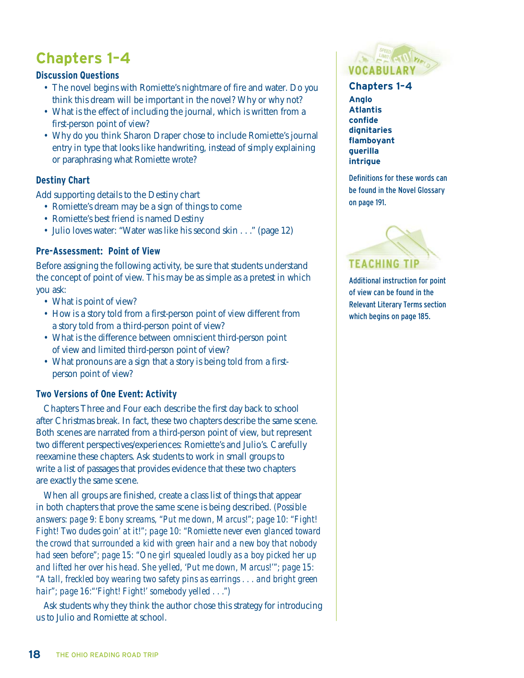## **Chapters 1–4**

#### **Discussion Questions**

- The novel begins with Romiette's nightmare of fire and water. Do you think this dream will be important in the novel? Why or why not?
- What is the effect of including the journal, which is written from a first-person point of view?
- Why do you think Sharon Draper chose to include Romiette's journal entry in type that looks like handwriting, instead of simply explaining or paraphrasing what Romiette wrote?

#### **Destiny Chart**

Add supporting details to the Destiny chart

- Romiette's dream may be a sign of things to come
- Romiette's best friend is named Destiny
- Julio loves water: "Water was like his second skin . . ." (page 12)

#### **Pre-Assessment: Point of View**

Before assigning the following activity, be sure that students understand the concept of point of view. This may be as simple as a pretest in which you ask:

- What is point of view?
- How is a story told from a first-person point of view different from a story told from a third-person point of view?
- What is the difference between omniscient third-person point of view and limited third-person point of view?
- What pronouns are a sign that a story is being told from a firstperson point of view?

#### **Two Versions of One Event: Activity**

Chapters Three and Four each describe the first day back to school after Christmas break. In fact, these two chapters describe the same scene. Both scenes are narrated from a third-person point of view, but represent two different perspectives/experiences: Romiette's and Julio's. Carefully reexamine these chapters. Ask students to work in small groups to write a list of passages that provides evidence that these two chapters are exactly the same scene.

When all groups are finished, create a class list of things that appear in both chapters that prove the same scene is being described. *(Possible answers: page 9: Ebony screams, "Put me down, Marcus!"; page 10: "Fight! Fight! Two dudes goin' at it!"; page 10: "Romiette never even glanced toward the crowd that surrounded a kid with green hair and a new boy that nobody had seen before"; page 15: "One girl squealed loudly as a boy picked her up and lifted her over his head. She yelled, 'Put me down, Marcus!'"; page 15: "A tall, freckled boy wearing two safety pins as earrings . . . and bright green hair"; page 16:"'Fight! Fight!' somebody yelled . . .")*

Ask students why they think the author chose this strategy for introducing us to Julio and Romiette at school.



#### **Chapters 1–4**

**Anglo Atlantis confide dignitaries flamboyant guerilla intrigue** 

Definitions for these words can be found in the Novel Glossary on page 191.



Additional instruction for point of view can be found in the Relevant Literary Terms section which begins on page 185.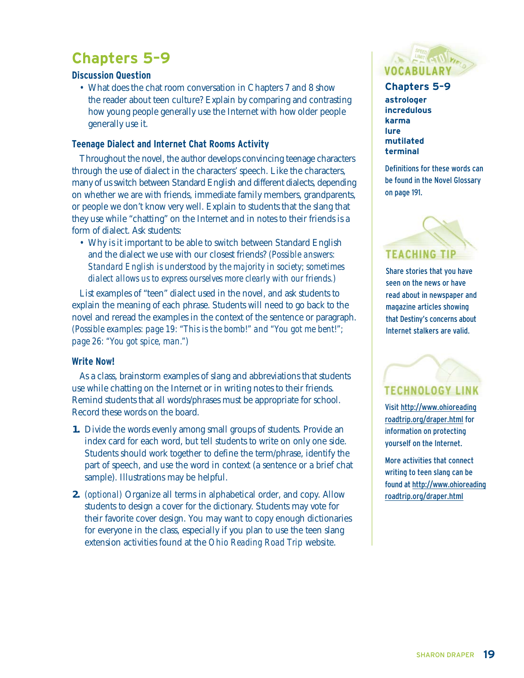## **Chapters 5–9**

#### **Discussion Question**

• What does the chat room conversation in Chapters 7 and 8 show the reader about teen culture? Explain by comparing and contrasting how young people generally use the Internet with how older people generally use it.

#### **Teenage Dialect and Internet Chat Rooms Activity**

Throughout the novel, the author develops convincing teenage characters through the use of dialect in the characters' speech. Like the characters, many of us switch between Standard English and different dialects, depending on whether we are with friends, immediate family members, grandparents, or people we don't know very well. Explain to students that the slang that they use while "chatting" on the Internet and in notes to their friends is a form of dialect. Ask students:

• Why is it important to be able to switch between Standard English and the dialect we use with our closest friends? *(Possible answers: Standard English is understood by the majority in society; sometimes dialect allows us to express ourselves more clearly with our friends.)*

List examples of "teen" dialect used in the novel, and ask students to explain the meaning of each phrase. Students will need to go back to the novel and reread the examples in the context of the sentence or paragraph. *(Possible examples: page 19: "This is the bomb!" and "You got me bent!"; page 26: "You got spice, man.")*

#### **Write Now!**

As a class, brainstorm examples of slang and abbreviations that students use while chatting on the Internet or in writing notes to their friends. Remind students that all words/phrases must be appropriate for school. Record these words on the board.

- **1.** Divide the words evenly among small groups of students. Provide an index card for each word, but tell students to write on only one side. Students should work together to define the term/phrase, identify the part of speech, and use the word in context (a sentence or a brief chat sample). Illustrations may be helpful.
- **2.** *(optional)* Organize all terms in alphabetical order, and copy. Allow students to design a cover for the dictionary. Students may vote for their favorite cover design. You may want to copy enough dictionaries for everyone in the class, especially if you plan to use the teen slang extension activities found at the *Ohio Reading Road Trip* website.



#### **Chapters 5–9**

**astrologer incredulous karma lure mutilated terminal** 

Definitions for these words can be found in the Novel Glossary on page 191.



Share stories that you have seen on the news or have read about in newspaper and magazine articles showing that Destiny's concerns about Internet stalkers are valid.

## **TECHNOLOGY LINK**

Visit http://www.ohioreading roadtrip.org/draper.html for information on protecting yourself on the Internet.

More activities that connect writing to teen slang can be found at http://www.ohioreading roadtrip.org/draper.html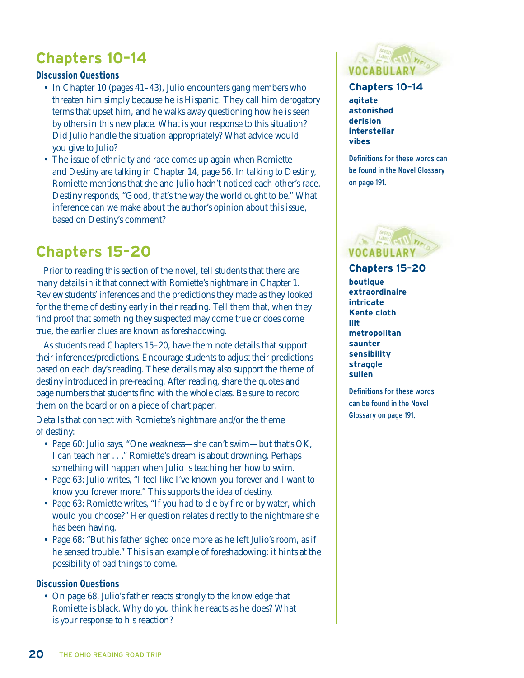## **Chapters 10–14**

#### **Discussion Questions**

- In Chapter 10 (pages 41–43), Julio encounters gang members who threaten him simply because he is Hispanic. They call him derogatory terms that upset him, and he walks away questioning how he is seen by others in this new place. What is your response to this situation? Did Julio handle the situation appropriately? What advice would you give to Julio?
- The issue of ethnicity and race comes up again when Romiette and Destiny are talking in Chapter 14, page 56. In talking to Destiny, Romiette mentions that she and Julio hadn't noticed each other's race. Destiny responds, "Good, that's the way the world ought to be." What inference can we make about the author's opinion about this issue, based on Destiny's comment?

## **Chapters 15–20**

Prior to reading this section of the novel, tell students that there are many details in it that connect with Romiette's nightmare in Chapter 1. Review students' inferences and the predictions they made as they looked for the theme of destiny early in their reading. Tell them that, when they find proof that something they suspected may come true or does come true, the earlier clues are known as *foreshadowing.* 

As students read Chapters 15–20, have them note details that support their inferences/predictions. Encourage students to adjust their predictions based on each day's reading. These details may also support the theme of destiny introduced in pre-reading. After reading, share the quotes and page numbers that students find with the whole class. Be sure to record them on the board or on a piece of chart paper.

Details that connect with Romiette's nightmare and/or the theme of destiny:

- Page 60: Julio says, "One weakness—she can't swim—but that's OK, I can teach her . . ." Romiette's dream is about drowning. Perhaps something will happen when Julio is teaching her how to swim.
- Page 63: Julio writes, "I feel like I've known you forever and I want to know you forever more." This supports the idea of destiny.
- Page 63: Romiette writes, "If you had to die by fire or by water, which would you choose?" Her question relates directly to the nightmare she has been having.
- Page 68: "But his father sighed once more as he left Julio's room, as if he sensed trouble." This is an example of foreshadowing: it hints at the possibility of bad things to come.

#### **Discussion Questions**

• On page 68, Julio's father reacts strongly to the knowledge that Romiette is black. Why do you think he reacts as he does? What is your response to his reaction?



### **Chapters 10–14**

**agitate astonished derision interstellar vibes**

Definitions for these words can be found in the Novel Glossary on page 191.



**Chapters 15–20 boutique extraordinaire intricate Kente cloth lilt metropolitan saunter sensibility straggle sullen** 

Definitions for these words can be found in the Novel Glossary on page 191.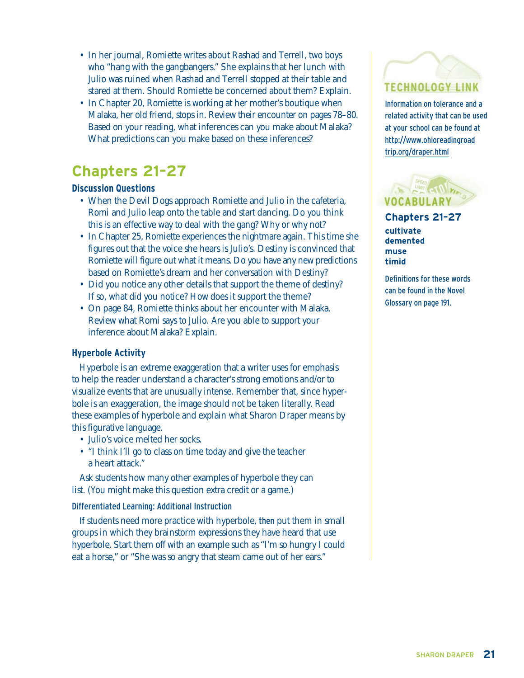- In her journal, Romiette writes about Rashad and Terrell, two boys who "hang with the gangbangers." She explains that her lunch with Julio was ruined when Rashad and Terrell stopped at their table and stared at them. Should Romiette be concerned about them? Explain.
- In Chapter 20, Romiette is working at her mother's boutique when Malaka, her old friend, stops in. Review their encounter on pages 78–80. Based on your reading, what inferences can you make about Malaka? What predictions can you make based on these inferences?

## **Chapters 21–27**

#### **Discussion Questions**

- When the Devil Dogs approach Romiette and Julio in the cafeteria, Romi and Julio leap onto the table and start dancing. Do you think this is an effective way to deal with the gang? Why or why not?
- In Chapter 25, Romiette experiences the nightmare again. This time she figures out that the voice she hears is Julio's. Destiny is convinced that Romiette will figure out what it means. Do you have any new predictions based on Romiette's dream and her conversation with Destiny?
- Did you notice any other details that support the theme of destiny? If so, what did you notice? How does it support the theme?
- On page 84, Romiette thinks about her encounter with Malaka. Review what Romi says to Julio. Are you able to support your inference about Malaka? Explain.

#### **Hyperbole Activity**

*Hyperbole* is an extreme exaggeration that a writer uses for emphasis to help the reader understand a character's strong emotions and/or to visualize events that are unusually intense. Remember that, since hyperbole is an exaggeration, the image should not be taken literally. Read these examples of hyperbole and explain what Sharon Draper means by this figurative language.

- Julio's voice melted her socks.
- "I think I'll go to class on time today and give the teacher a heart attack."

Ask students how many other examples of hyperbole they can list. (You might make this question extra credit or a game.)

#### Differentiated Learning: Additional Instruction

If students need more practice with hyperbole, then put them in small groups in which they brainstorm expressions they have heard that use hyperbole. Start them off with an example such as "I'm so hungry I could eat a horse," or "She was so angry that steam came out of her ears."

## **TECHNOLOGY LINK**

Information on tolerance and a related activity that can be used at your school can be found at http://www.ohioreadingroad trip.org/draper.html

**Chapters 21–27 cultivate demented muse timid** 

Definitions for these words can be found in the Novel Glossary on page 191.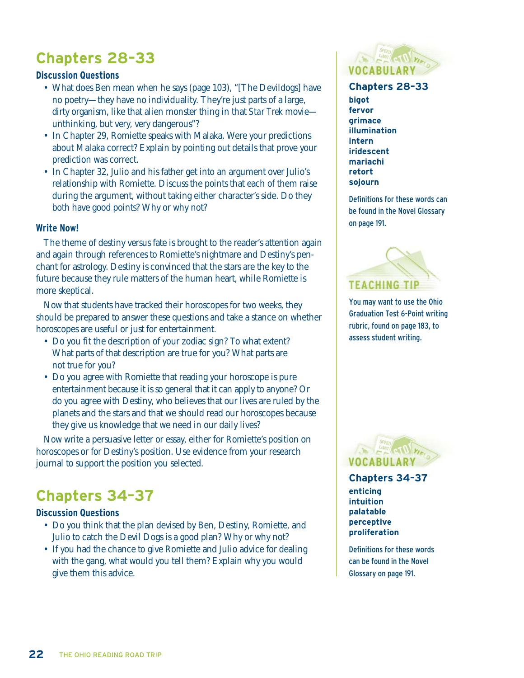## **Chapters 28–33**

#### **Discussion Questions**

- What does Ben mean when he says (page 103), "[The Devildogs] have no poetry—they have no individuality. They're just parts of a large, dirty organism, like that alien monster thing in that *Star Trek* movie unthinking, but very, very dangerous"?
- In Chapter 29, Romiette speaks with Malaka. Were your predictions about Malaka correct? Explain by pointing out details that prove your prediction was correct.
- In Chapter 32, Julio and his father get into an argument over Julio's relationship with Romiette. Discuss the points that each of them raise during the argument, without taking either character's side. Do they both have good points? Why or why not?

#### **Write Now!**

The theme of destiny versus fate is brought to the reader's attention again and again through references to Romiette's nightmare and Destiny's penchant for astrology. Destiny is convinced that the stars are the key to the future because they rule matters of the human heart, while Romiette is more skeptical.

Now that students have tracked their horoscopes for two weeks, they should be prepared to answer these questions and take a stance on whether horoscopes are useful or just for entertainment.

- Do you fit the description of your zodiac sign? To what extent? What parts of that description are true for you? What parts are not true for you?
- Do you agree with Romiette that reading your horoscope is pure entertainment because it is so general that it can apply to anyone? Or do you agree with Destiny, who believes that our lives are ruled by the planets and the stars and that we should read our horoscopes because they give us knowledge that we need in our daily lives?

Now write a persuasive letter or essay, either for Romiette's position on horoscopes or for Destiny's position. Use evidence from your research journal to support the position you selected.

## **Chapters 34–37**

#### **Discussion Questions**

- Do you think that the plan devised by Ben, Destiny, Romiette, and Julio to catch the Devil Dogs is a good plan? Why or why not?
- If you had the chance to give Romiette and Julio advice for dealing with the gang, what would you tell them? Explain why you would give them this advice.



#### **Chapters 28–33**

**bigot fervor grimace illumination intern iridescent mariachi retort sojourn** 

Definitions for these words can be found in the Novel Glossary on page 191.



You may want to use the Ohio Graduation Test 6-Point writing rubric, found on page 183, to assess student writing.



**Chapters 34–37 enticing intuition palatable perceptive proliferation** 

Definitions for these words can be found in the Novel Glossary on page 191.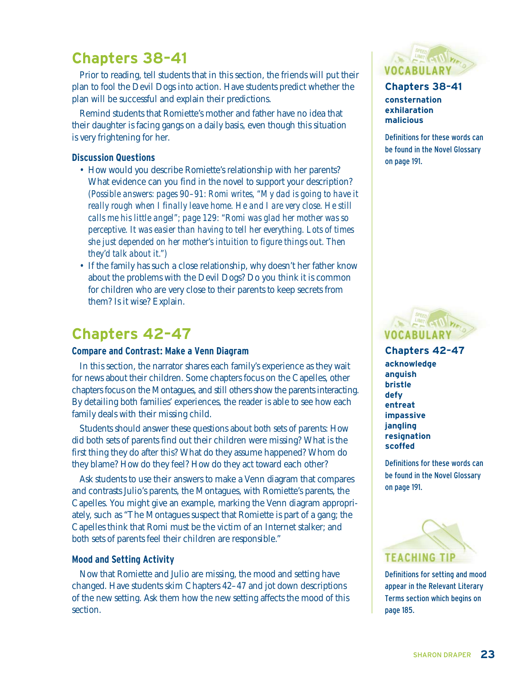## **Chapters 38–41**

Prior to reading, tell students that in this section, the friends will put their plan to fool the Devil Dogs into action. Have students predict whether the plan will be successful and explain their predictions.

Remind students that Romiette's mother and father have no idea that their daughter is facing gangs on a daily basis, even though this situation is very frightening for her.

#### **Discussion Questions**

- How would you describe Romiette's relationship with her parents? What evidence can you find in the novel to support your description? *(Possible answers: pages 90–91: Romi writes, "My dad is going to have it really rough when I finally leave home. He and I are very close. He still calls me his little angel"; page 129: "Romi was glad her mother was so perceptive. It was easier than having to tell her everything. Lots of times she just depended on her mother's intuition to figure things out. Then they'd talk about it.")*
- If the family has such a close relationship, why doesn't her father know about the problems with the Devil Dogs? Do you think it is common for children who are very close to their parents to keep secrets from them? Is it wise? Explain.

### **Chapters 42–47**

#### **Compare and Contrast: Make a Venn Diagram**

In this section, the narrator shares each family's experience as they wait for news about their children. Some chapters focus on the Capelles, other chapters focus on the Montagues, and still others show the parents interacting. By detailing both families' experiences, the reader is able to see how each family deals with their missing child.

Students should answer these questions about both sets of parents: How did both sets of parents find out their children were missing? What is the first thing they do after this? What do they assume happened? Whom do they blame? How do they feel? How do they act toward each other?

Ask students to use their answers to make a Venn diagram that compares and contrasts Julio's parents, the Montagues, with Romiette's parents, the Capelles. You might give an example, marking the Venn diagram appropriately, such as "The Montagues suspect that Romiette is part of a gang; the Capelles think that Romi must be the victim of an Internet stalker; and both sets of parents feel their children are responsible."

#### **Mood and Setting Activity**

Now that Romiette and Julio are missing, the mood and setting have changed. Have students skim Chapters 42–47 and jot down descriptions of the new setting. Ask them how the new setting affects the mood of this section.



#### **Chapters 38–41 consternation exhilaration malicious**

Definitions for these words can be found in the Novel Glossary on page 191.



#### **Chapters 42–47**

**acknowledge anguish bristle defy entreat impassive jangling resignation scoffed** 

Definitions for these words can be found in the Novel Glossary on page 191.



Definitions for setting and mood appear in the Relevant Literary Terms section which begins on page 185.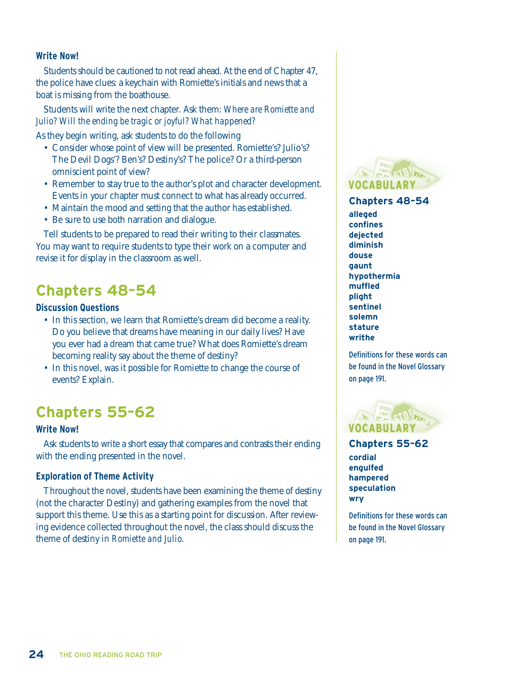#### **Write Now!**

Students should be cautioned to not read ahead. At the end of Chapter 47, the police have clues: a keychain with Romiette's initials and news that a boat is missing from the boathouse.

Students will write the next chapter. Ask them: *Where are Romiette and Julio? Will the ending be tragic or joyful? What happened?* 

As they begin writing, ask students to do the following

- Consider whose point of view will be presented. Romiette's? Julio's? The Devil Dogs'? Ben's? Destiny's? The police? Or a third-person omniscient point of view?
- Remember to stay true to the author's plot and character development. Events in your chapter must connect to what has already occurred.
- Maintain the mood and setting that the author has established.
- Be sure to use both narration and dialogue.

Tell students to be prepared to read their writing to their classmates. You may want to require students to type their work on a computer and revise it for display in the classroom as well.

## **Chapters 48–54**

#### **Discussion Questions**

- In this section, we learn that Romiette's dream did become a reality. Do you believe that dreams have meaning in our daily lives? Have you ever had a dream that came true? What does Romiette's dream becoming reality say about the theme of destiny?
- In this novel, was it possible for Romiette to change the course of events? Explain.

## **Chapters 55–62**

#### **Write Now!**

Ask students to write a short essay that compares and contrasts their ending with the ending presented in the novel.

#### **Exploration of Theme Activity**

Throughout the novel, students have been examining the theme of destiny (not the character Destiny) and gathering examples from the novel that support this theme. Use this as a starting point for discussion. After reviewing evidence collected throughout the novel, the class should discuss the theme of destiny in *Romiette and Julio.*



**Chapters 48–54 alleged confines dejected diminish douse gaunt hypothermia muffled plight sentinel solemn stature writhe** 

Definitions for these words can be found in the Novel Glossary on page 191.



**Chapters 55–62 cordial engulfed hampered speculation wry** 

Definitions for these words can be found in the Novel Glossary on page 191.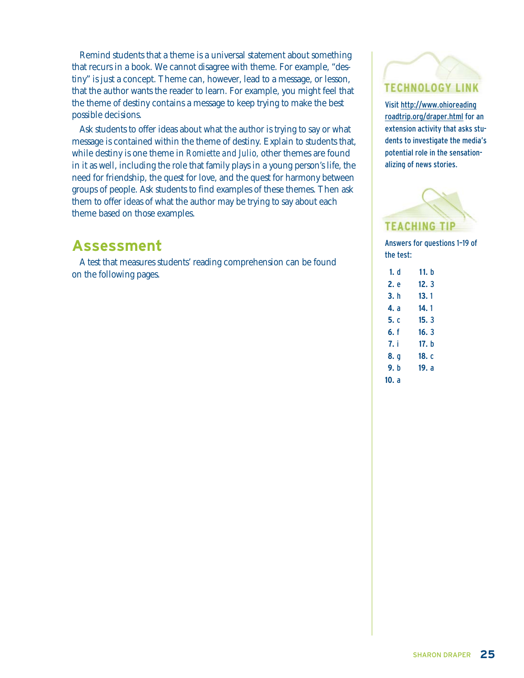Remind students that a theme is a universal statement about something that recurs in a book. We cannot disagree with theme. For example, "destiny" is just a concept. Theme can, however, lead to a message, or lesson, that the author wants the reader to learn. For example, you might feel that the theme of destiny contains a message to keep trying to make the best possible decisions.

Ask students to offer ideas about what the author is trying to say or what message is contained within the theme of destiny. Explain to students that, while destiny is one theme in *Romiette and Julio,* other themes are found in it as well, including the role that family plays in a young person's life, the need for friendship, the quest for love, and the quest for harmony between groups of people. Ask students to find examples of these themes. Then ask them to offer ideas of what the author may be trying to say about each theme based on those examples.

### **Assessment**

A test that measures students' reading comprehension can be found on the following pages.

## **TECHNOLOGY LINK**

Visit http://www.ohioreading roadtrip.org/draper.html for an extension activity that asks students to investigate the media's potential role in the sensationalizing of news stories.



Answers for questions 1–19 of the test:

| 1. d  | 11. h |
|-------|-------|
| 2. e  | 12.3  |
| 3. h  | 13.1  |
| 4. a  | 14. 1 |
| 5. c  | 15.3  |
| 6. f  | 16.3  |
| 7. i  | 17. h |
| 8. g  | 18. c |
| 9. h  | 19. a |
| 10. a |       |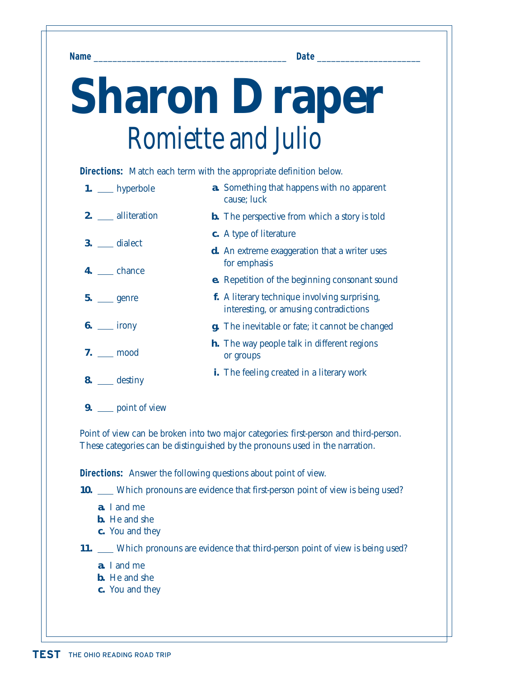**Name** \_\_\_\_\_\_\_\_\_\_\_\_\_\_\_\_\_\_\_\_\_\_\_\_\_\_\_\_\_\_\_\_\_\_\_\_\_\_\_\_\_ **Date** \_\_\_\_\_\_\_\_\_\_\_\_\_\_\_\_\_\_\_\_\_\_

# **Sharon Draper** *Romiette and Julio*

**Directions:** Match each term with the appropriate definition below.

| $1.$ __ hyperbole   | <b>a.</b> Something that happens with no apparent<br>cause; luck                        |
|---------------------|-----------------------------------------------------------------------------------------|
| 2. __ alliteration  | <b>b.</b> The perspective from which a story is told                                    |
| $3.$ ___ dialect    | c. A type of literature                                                                 |
| 4. chance           | <b>d.</b> An extreme exaggeration that a writer uses<br>for emphasis                    |
|                     | <b>e.</b> Repetition of the beginning consonant sound                                   |
| $5.$ genre          | f. A literary technique involving surprising,<br>interesting, or amusing contradictions |
| $6.$ ____ irony     | <b>g.</b> The inevitable or fate; it cannot be changed                                  |
| $7.$ mood           | <b>h.</b> The way people talk in different regions<br>or groups                         |
| $8.$ <u>destiny</u> | <b>i.</b> The feeling created in a literary work                                        |
|                     |                                                                                         |

**9.** point of view

Point of view can be broken into two major categories: first-person and third-person. These categories can be distinguished by the pronouns used in the narration.

**Directions:** Answer the following questions about point of view.

**10.** Which pronouns are evidence that first-person point of view is being used?

- **a.** I and me
- **b.** He and she
- **c.** You and they

**11.** Which pronouns are evidence that third-person point of view is being used?

- **a.** I and me
- **b.** He and she
- **c.** You and they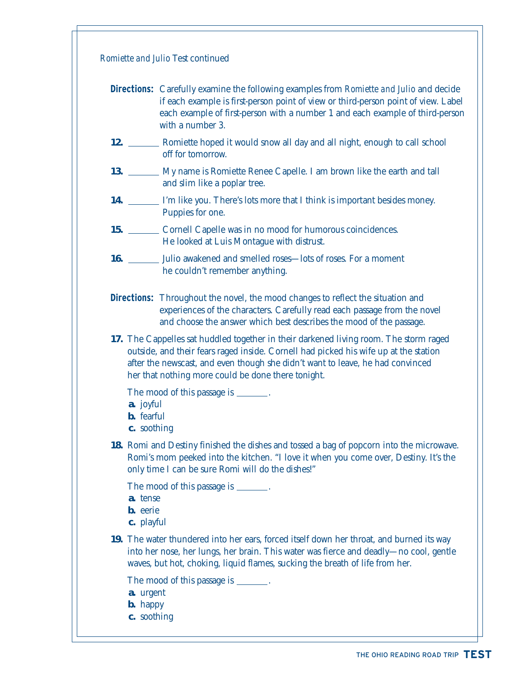| Romiette and Julio Test continued                                                                                                                                                                                                                                                                                     |
|-----------------------------------------------------------------------------------------------------------------------------------------------------------------------------------------------------------------------------------------------------------------------------------------------------------------------|
| <b>Directions:</b> Carefully examine the following examples from Romiette and Julio and decide<br>if each example is first-person point of view or third-person point of view. Label<br>each example of first-person with a number 1 and each example of third-person<br>with a number 3.                             |
| 12. Exercíptive Rometa Evroped it would snow all day and all night, enough to call school<br>off for tomorrow.                                                                                                                                                                                                        |
| 13. My name is Romiette Renee Capelle. I am brown like the earth and tall<br>and slim like a poplar tree.                                                                                                                                                                                                             |
| 14. ________ I'm like you. There's lots more that I think is important besides money.<br>Puppies for one.                                                                                                                                                                                                             |
| 15. Cornell Capelle was in no mood for humorous coincidences.<br>He looked at Luis Montague with distrust.                                                                                                                                                                                                            |
| 16. _______ Julio awakened and smelled roses—lots of roses. For a moment<br>he couldn't remember anything.                                                                                                                                                                                                            |
| <b>Directions:</b> Throughout the novel, the mood changes to reflect the situation and<br>experiences of the characters. Carefully read each passage from the novel<br>and choose the answer which best describes the mood of the passage.                                                                            |
| 17. The Cappelles sat huddled together in their darkened living room. The storm raged<br>outside, and their fears raged inside. Cornell had picked his wife up at the station<br>after the newscast, and even though she didn't want to leave, he had convinced<br>her that nothing more could be done there tonight. |
| The mood of this passage is _______.<br>a. joyful<br><b>b.</b> fearful<br>c. soothing                                                                                                                                                                                                                                 |
| 18. Romi and Destiny finished the dishes and tossed a bag of popcorn into the microwave.<br>Romi's mom peeked into the kitchen. "I love it when you come over, Destiny. It's the<br>only time I can be sure Romi will do the dishes!"                                                                                 |
| The mood of this passage is _______.<br>a. tense<br><b>b.</b> eerie<br>c. playful                                                                                                                                                                                                                                     |
| 19. The water thundered into her ears, forced itself down her throat, and burned its way<br>into her nose, her lungs, her brain. This water was fierce and deadly-no cool, gentle<br>waves, but hot, choking, liquid flames, sucking the breath of life from her.                                                     |
| The mood of this passage is _______.<br>a. urgent<br><b>b.</b> happy<br>c. soothing                                                                                                                                                                                                                                   |